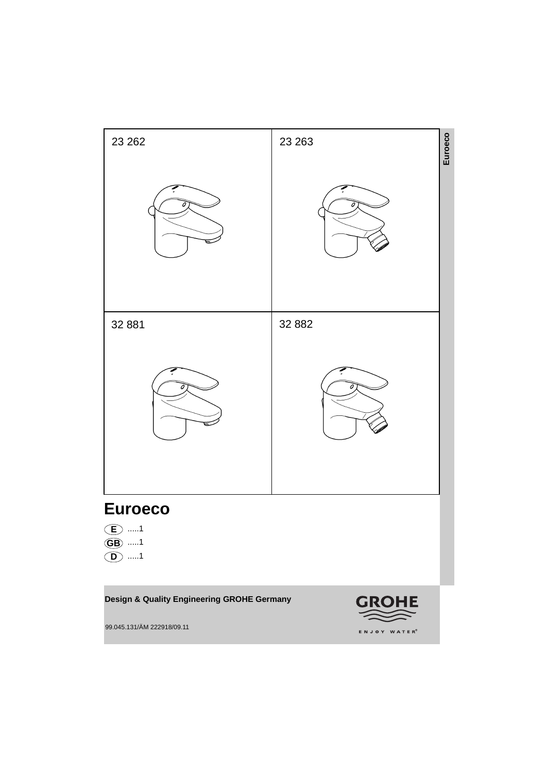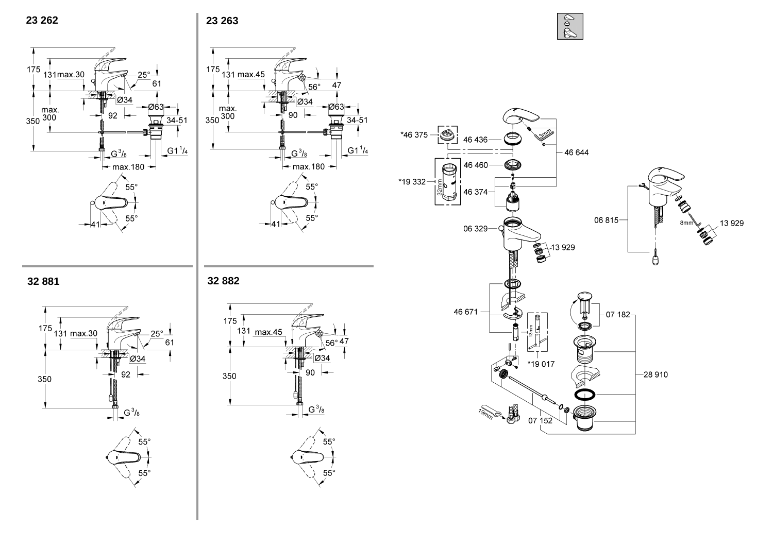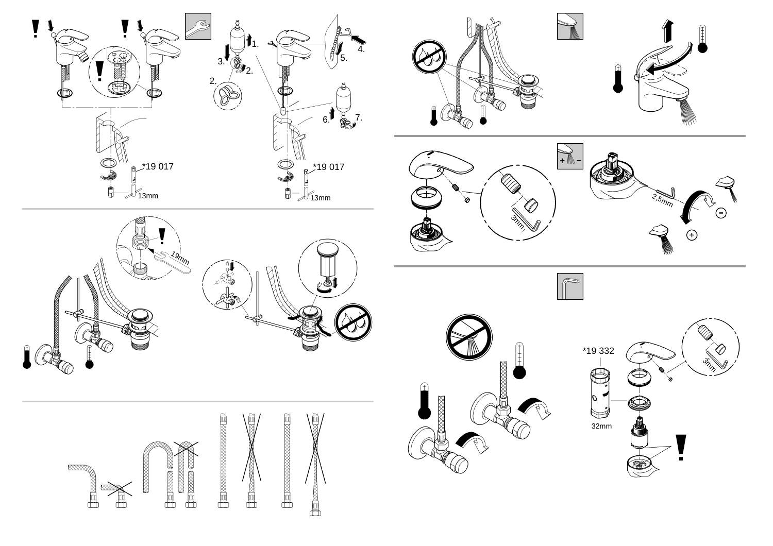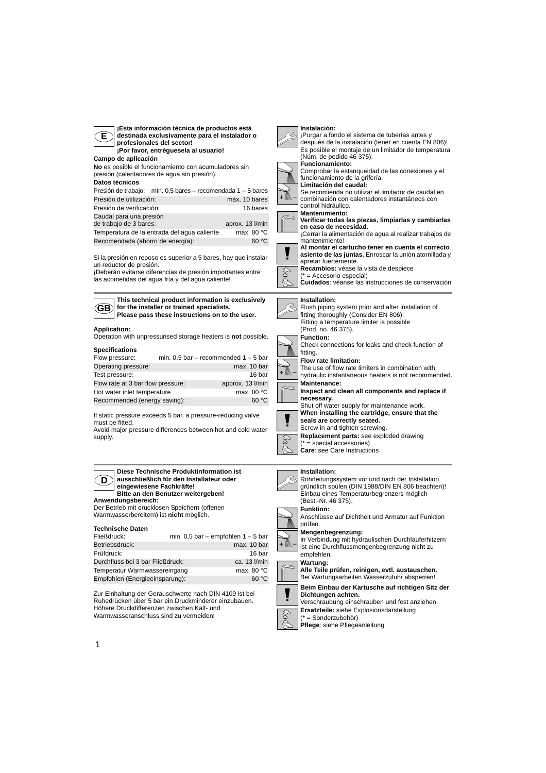|                                                                                                                                                                                                                                                                                                                                                                                                                                                 | ¡Esta información técnica de productos está                                                                                                                                                |                                                                  |   | Instalación:                                                                                                                                                                                                                                                                                                                                                                                                                                                                                                                                                                                                                                                                                                                                                                          |
|-------------------------------------------------------------------------------------------------------------------------------------------------------------------------------------------------------------------------------------------------------------------------------------------------------------------------------------------------------------------------------------------------------------------------------------------------|--------------------------------------------------------------------------------------------------------------------------------------------------------------------------------------------|------------------------------------------------------------------|---|---------------------------------------------------------------------------------------------------------------------------------------------------------------------------------------------------------------------------------------------------------------------------------------------------------------------------------------------------------------------------------------------------------------------------------------------------------------------------------------------------------------------------------------------------------------------------------------------------------------------------------------------------------------------------------------------------------------------------------------------------------------------------------------|
| destinada exclusivamente para el instalador o<br>Е.                                                                                                                                                                                                                                                                                                                                                                                             |                                                                                                                                                                                            |                                                                  |   | ¡Purgar a fondo el sistema de tuberías antes y                                                                                                                                                                                                                                                                                                                                                                                                                                                                                                                                                                                                                                                                                                                                        |
| profesionales del sector!<br>¡Por favor, entréguesela al usuario!                                                                                                                                                                                                                                                                                                                                                                               |                                                                                                                                                                                            |                                                                  |   | después de la instalación (tener en cuenta EN 806)!<br>Es posible el montaje de un limitador de temperatura                                                                                                                                                                                                                                                                                                                                                                                                                                                                                                                                                                                                                                                                           |
| Campo de aplicación                                                                                                                                                                                                                                                                                                                                                                                                                             |                                                                                                                                                                                            |                                                                  |   | (Núm. de pedido 46 375).                                                                                                                                                                                                                                                                                                                                                                                                                                                                                                                                                                                                                                                                                                                                                              |
| No es posible el funcionamiento con acumuladores sin                                                                                                                                                                                                                                                                                                                                                                                            |                                                                                                                                                                                            |                                                                  |   | Funcionamiento:                                                                                                                                                                                                                                                                                                                                                                                                                                                                                                                                                                                                                                                                                                                                                                       |
| presión (calentadores de agua sin presión).                                                                                                                                                                                                                                                                                                                                                                                                     |                                                                                                                                                                                            |                                                                  |   | Comprobar la estangueidad de las conexiones y el<br>funcionamiento de la grifería.                                                                                                                                                                                                                                                                                                                                                                                                                                                                                                                                                                                                                                                                                                    |
| Datos técnicos                                                                                                                                                                                                                                                                                                                                                                                                                                  |                                                                                                                                                                                            |                                                                  |   | Limitación del caudal:                                                                                                                                                                                                                                                                                                                                                                                                                                                                                                                                                                                                                                                                                                                                                                |
| Presión de trabajo: mín. 0,5 bares - recomendada 1 - 5 bares                                                                                                                                                                                                                                                                                                                                                                                    |                                                                                                                                                                                            |                                                                  |   | Se recomienda no utilizar el limitador de caudal en                                                                                                                                                                                                                                                                                                                                                                                                                                                                                                                                                                                                                                                                                                                                   |
| Presión de utilización:                                                                                                                                                                                                                                                                                                                                                                                                                         |                                                                                                                                                                                            | máx. 10 bares                                                    |   | combinación con calentadores instantáneos con                                                                                                                                                                                                                                                                                                                                                                                                                                                                                                                                                                                                                                                                                                                                         |
| Presión de verificación:                                                                                                                                                                                                                                                                                                                                                                                                                        |                                                                                                                                                                                            | 16 bares                                                         |   | control hidráulico.                                                                                                                                                                                                                                                                                                                                                                                                                                                                                                                                                                                                                                                                                                                                                                   |
| Caudal para una presión                                                                                                                                                                                                                                                                                                                                                                                                                         |                                                                                                                                                                                            |                                                                  |   | <b>Mantenimiento:</b><br>Verificar todas las piezas, limpiarlas y cambiarlas                                                                                                                                                                                                                                                                                                                                                                                                                                                                                                                                                                                                                                                                                                          |
| de trabajo de 3 bares:                                                                                                                                                                                                                                                                                                                                                                                                                          |                                                                                                                                                                                            | aprox. 13 l/min                                                  |   | en caso de necesidad.                                                                                                                                                                                                                                                                                                                                                                                                                                                                                                                                                                                                                                                                                                                                                                 |
| Temperatura de la entrada del agua caliente                                                                                                                                                                                                                                                                                                                                                                                                     |                                                                                                                                                                                            | máx. 80 °C                                                       |   | ¡Cerrar la alimentación de agua al realizar trabajos de                                                                                                                                                                                                                                                                                                                                                                                                                                                                                                                                                                                                                                                                                                                               |
| Recomendada (ahorro de energía):                                                                                                                                                                                                                                                                                                                                                                                                                |                                                                                                                                                                                            | 60 °C                                                            |   | mantenimiento!                                                                                                                                                                                                                                                                                                                                                                                                                                                                                                                                                                                                                                                                                                                                                                        |
|                                                                                                                                                                                                                                                                                                                                                                                                                                                 |                                                                                                                                                                                            |                                                                  |   | Al montar el cartucho tener en cuenta el correcto<br>asiento de las juntas. Enroscar la unión atornillada y                                                                                                                                                                                                                                                                                                                                                                                                                                                                                                                                                                                                                                                                           |
| Si la presión en reposo es superior a 5 bares, hay que instalar                                                                                                                                                                                                                                                                                                                                                                                 |                                                                                                                                                                                            |                                                                  |   | apretar fuertemente.                                                                                                                                                                                                                                                                                                                                                                                                                                                                                                                                                                                                                                                                                                                                                                  |
| un reductor de presión.<br>¡Deberán evitarse diferencias de presión importantes entre                                                                                                                                                                                                                                                                                                                                                           |                                                                                                                                                                                            |                                                                  |   | Recambios: véase la vista de despiece                                                                                                                                                                                                                                                                                                                                                                                                                                                                                                                                                                                                                                                                                                                                                 |
| las acometidas del aqua fría y del aqua caliente!                                                                                                                                                                                                                                                                                                                                                                                               |                                                                                                                                                                                            |                                                                  |   | $(* = Accessorio$ especial)                                                                                                                                                                                                                                                                                                                                                                                                                                                                                                                                                                                                                                                                                                                                                           |
|                                                                                                                                                                                                                                                                                                                                                                                                                                                 |                                                                                                                                                                                            |                                                                  |   | Cuidados: véanse las instrucciones de conservación                                                                                                                                                                                                                                                                                                                                                                                                                                                                                                                                                                                                                                                                                                                                    |
| GB.<br><b>Application:</b><br>Operation with unpressurised storage heaters is not possible.<br><b>Specifications</b><br>Flow pressure:<br>Operating pressure:<br>Test pressure:<br>Flow rate at 3 bar flow pressure:<br>Hot water inlet temperature<br>Recommended (energy saving):<br>If static pressure exceeds 5 bar, a pressure-reducing valve<br>must be fitted.<br>Avoid major pressure differences between hot and cold water<br>supply. | This technical product information is exclusively<br>for the installer or trained specialists.<br>Please pass these instructions on to the user.<br>min. $0.5$ bar – recommended 1 – 5 bar | max. 10 bar<br>16 bar<br>approx. 13 l/min<br>max. 80 °C<br>60 °C | V | Installation:<br>Flush piping system prior and after installation of<br>fitting thoroughly (Consider EN 806)!<br>Fitting a temperature limiter is possible<br>(Prod. no. 46 375).<br><b>Function:</b><br>Check connections for leaks and check function of<br>fitting.<br><b>Flow rate limitation:</b><br>The use of flow rate limiters in combination with<br>hydraulic instantaneous heaters is not recommended.<br><b>Maintenance:</b><br>Inspect and clean all components and replace if<br>necessary.<br>Shut off water supply for maintenance work.<br>When installing the cartridge, ensure that the<br>seals are correctly seated.<br>Screw in and tighten screwing.<br>Replacement parts: see exploded drawing<br>$(* = special accessories)$<br>Care: see Care Instructions |
| Diese Technische Produktinformation ist<br>ausschließlich für den Installateur oder<br>D<br>eingewiesene Fachkräfte!<br>Bitte an den Benutzer weitergeben!<br>Anwendungsbereich:<br>Der Betrieb mit drucklosen Speichern (offenen<br>Warmwasserbereitern) ist nicht möglich.<br><b>Technische Daten</b><br>Fließdruck:<br>min. $0,5$ bar – empfohlen $1 - 5$ bar<br>Betriebsdruck:<br>max. 10 bar                                               |                                                                                                                                                                                            |                                                                  |   | Installation:<br>Rohrleitungssystem vor und nach der Installation<br>gründlich spülen (DIN 1988/DIN EN 806 beachten)!<br>Einbau eines Temperaturbegrenzers möglich<br>(Best.-Nr. 46 375).<br><b>Funktion:</b><br>Anschlüsse auf Dichtheit und Armatur auf Funktion<br>prüfen.<br>Mengenbegrenzung:<br>In Verbindung mit hydraulischen Durchlauferhitzern<br>ist eine Durchflussmengenbegrenzung nicht zu                                                                                                                                                                                                                                                                                                                                                                              |
| Prüfdruck:                                                                                                                                                                                                                                                                                                                                                                                                                                      |                                                                                                                                                                                            | 16 bar                                                           |   | empfehlen.                                                                                                                                                                                                                                                                                                                                                                                                                                                                                                                                                                                                                                                                                                                                                                            |
| Durchfluss bei 3 bar Fließdruck:                                                                                                                                                                                                                                                                                                                                                                                                                |                                                                                                                                                                                            | ca. 13 l/min                                                     |   | Wartung:                                                                                                                                                                                                                                                                                                                                                                                                                                                                                                                                                                                                                                                                                                                                                                              |

**Wartung:**  $\Rightarrow$ 

**Alle Teile prüfen, reinigen, evtl. austauschen.** Bei Wartungsarbeiten Wasserzufuhr absperren!

**Beim Einbau der Kartusche auf richtigen Sitz der** 

Verschraubung einschrauben und fest anziehen.



**Ersatzteile:** siehe Explosionsdarstellung (\* = Sonderzubehör)

**Pflege**: siehe Pflegeanleitung

**Dichtungen achten.**

Zur Einhaltung der Geräuschwerte nach DIN 4109 ist bei Ruhedrücken über 5 bar ein Druckminderer einzubauen.

Durchfluss bei 3 bar Fließdruck: ca. 13 l/min<br>Temperatur Warmwassereingang max. 80 °C Temperatur Warmwassereingang max. 80 °C<br>
Empfohlen (Energieeinsparung): 60 °C

Höhere Druckdifferenzen zwischen Kalt- und Warmwasseranschluss sind zu vermeiden!

Empfohlen (Energieeinsparung):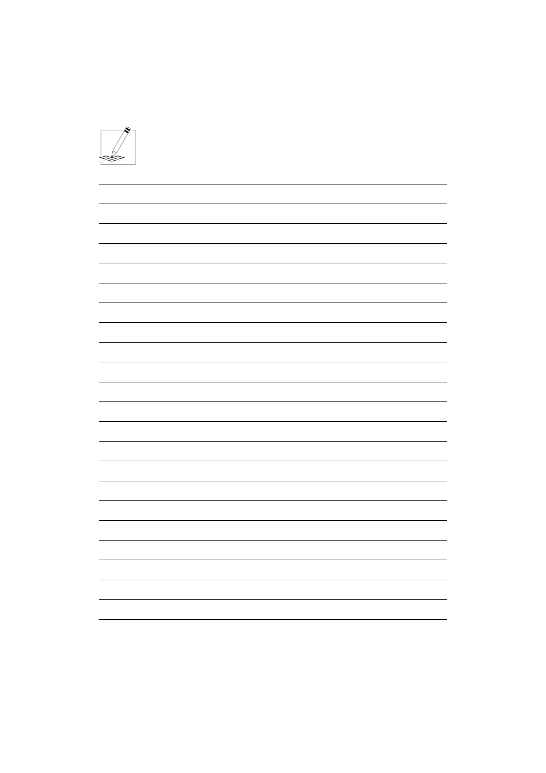